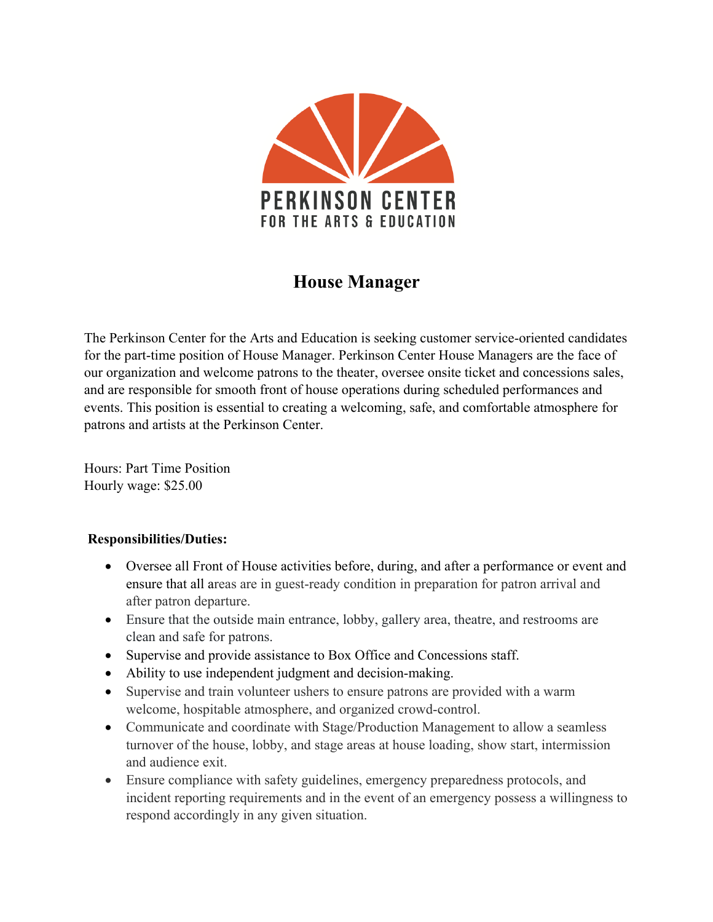

## **House Manager**

The Perkinson Center for the Arts and Education is seeking customer service-oriented candidates for the part-time position of House Manager. Perkinson Center House Managers are the face of our organization and welcome patrons to the theater, oversee onsite ticket and concessions sales, and are responsible for smooth front of house operations during scheduled performances and events. This position is essential to creating a welcoming, safe, and comfortable atmosphere for patrons and artists at the Perkinson Center.

Hours: Part Time Position Hourly wage: \$25.00

## **Responsibilities/Duties:**

- Oversee all Front of House activities before, during, and after a performance or event and ensure that all areas are in guest-ready condition in preparation for patron arrival and after patron departure.
- Ensure that the outside main entrance, lobby, gallery area, theatre, and restrooms are clean and safe for patrons.
- Supervise and provide assistance to Box Office and Concessions staff.
- Ability to use independent judgment and decision-making.
- Supervise and train volunteer ushers to ensure patrons are provided with a warm welcome, hospitable atmosphere, and organized crowd-control.
- Communicate and coordinate with Stage/Production Management to allow a seamless turnover of the house, lobby, and stage areas at house loading, show start, intermission and audience exit.
- Ensure compliance with safety guidelines, emergency preparedness protocols, and incident reporting requirements and in the event of an emergency possess a willingness to respond accordingly in any given situation.